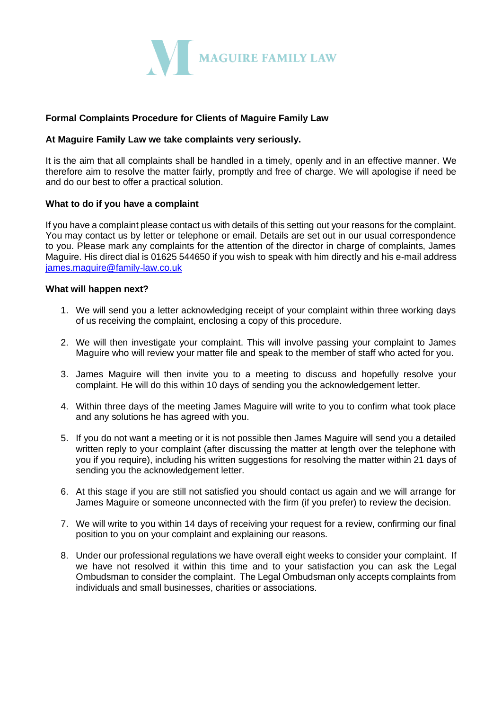

# **Formal Complaints Procedure for Clients of Maguire Family Law**

### **At Maguire Family Law we take complaints very seriously.**

It is the aim that all complaints shall be handled in a timely, openly and in an effective manner. We therefore aim to resolve the matter fairly, promptly and free of charge. We will apologise if need be and do our best to offer a practical solution.

### **What to do if you have a complaint**

If you have a complaint please contact us with details of this setting out your reasons for the complaint. You may contact us by letter or telephone or email. Details are set out in our usual correspondence to you. Please mark any complaints for the attention of the director in charge of complaints, James Maguire. His direct dial is 01625 544650 if you wish to speak with him directly and his e-mail address [james.maguire@family-law.co.uk](mailto:james.maguire@family-law.co.uk)

#### **What will happen next?**

- 1. We will send you a letter acknowledging receipt of your complaint within three working days of us receiving the complaint, enclosing a copy of this procedure.
- 2. We will then investigate your complaint. This will involve passing your complaint to James Maguire who will review your matter file and speak to the member of staff who acted for you.
- 3. James Maguire will then invite you to a meeting to discuss and hopefully resolve your complaint. He will do this within 10 days of sending you the acknowledgement letter.
- 4. Within three days of the meeting James Maguire will write to you to confirm what took place and any solutions he has agreed with you.
- 5. If you do not want a meeting or it is not possible then James Maguire will send you a detailed written reply to your complaint (after discussing the matter at length over the telephone with you if you require), including his written suggestions for resolving the matter within 21 days of sending you the acknowledgement letter.
- 6. At this stage if you are still not satisfied you should contact us again and we will arrange for James Maguire or someone unconnected with the firm (if you prefer) to review the decision.
- 7. We will write to you within 14 days of receiving your request for a review, confirming our final position to you on your complaint and explaining our reasons.
- 8. Under our professional regulations we have overall eight weeks to consider your complaint. If we have not resolved it within this time and to your satisfaction you can ask the Legal Ombudsman to consider the complaint. The Legal Ombudsman only accepts complaints from individuals and small businesses, charities or associations.